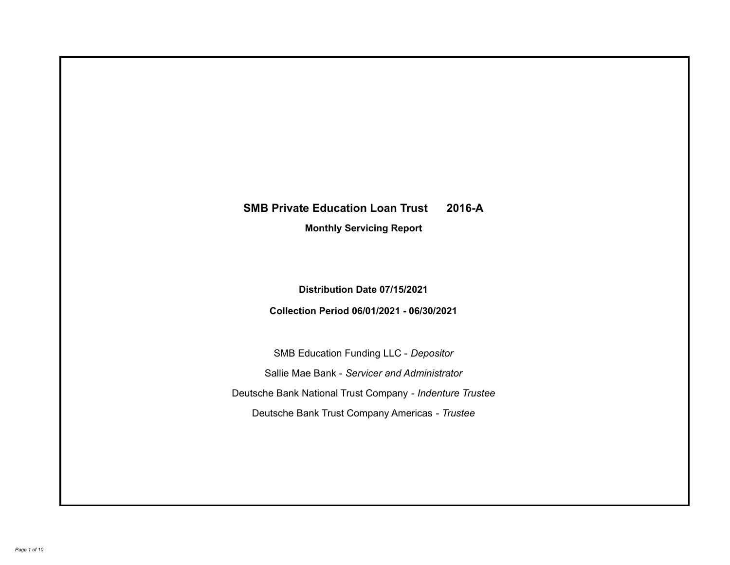# **SMB Private Education Loan Trust 2016-A**

**Monthly Servicing Report**

**Distribution Date 07/15/2021**

**Collection Period 06/01/2021 - 06/30/2021**

SMB Education Funding LLC - *Depositor* Sallie Mae Bank - *Servicer and Administrator* Deutsche Bank National Trust Company - *Indenture Trustee* Deutsche Bank Trust Company Americas - *Trustee*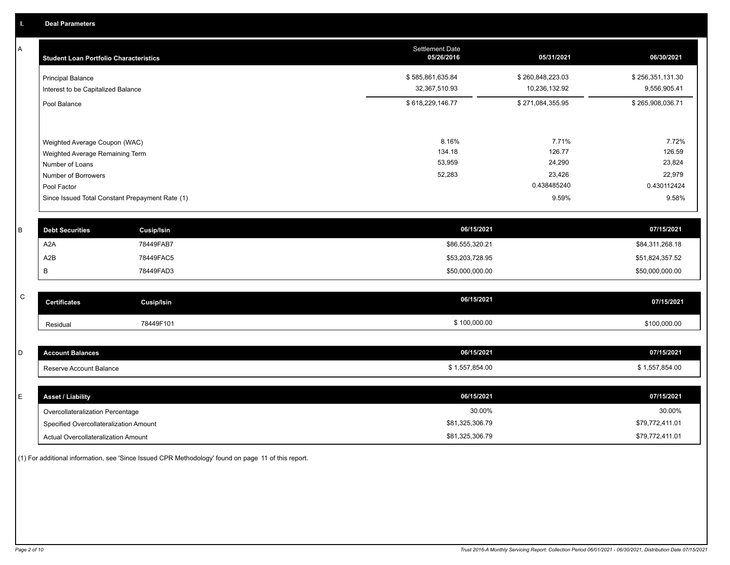A

| A | <b>Student Loan Portfolio Characteristics</b> |                                                 | Settlement Date<br>05/26/2016 | 05/31/2021       | 06/30/2021       |
|---|-----------------------------------------------|-------------------------------------------------|-------------------------------|------------------|------------------|
|   | <b>Principal Balance</b>                      |                                                 | \$585,861,635.84              | \$260,848,223.03 | \$256,351,131.30 |
|   | Interest to be Capitalized Balance            |                                                 | 32,367,510.93                 | 10,236,132.92    | 9,556,905.41     |
|   | Pool Balance                                  |                                                 | \$618,229,146.77              | \$271,084,355.95 | \$265,908,036.71 |
|   |                                               |                                                 |                               |                  |                  |
|   | Weighted Average Coupon (WAC)                 |                                                 | 8.16%                         | 7.71%            | 7.72%            |
|   | Weighted Average Remaining Term               |                                                 | 134.18                        | 126.77           | 126.59           |
|   | Number of Loans                               |                                                 | 53,959                        | 24,290           | 23,824           |
|   | Number of Borrowers                           |                                                 | 52,283                        | 23,426           | 22,979           |
|   | Pool Factor                                   |                                                 |                               | 0.438485240      | 0.430112424      |
|   |                                               | Since Issued Total Constant Prepayment Rate (1) |                               | 9.59%            | 9.58%            |
|   |                                               |                                                 |                               |                  |                  |
| B | <b>Debt Securities</b>                        | <b>Cusip/Isin</b>                               | 06/15/2021                    |                  | 07/15/2021       |
|   | A <sub>2</sub> A                              | 78449FAB7                                       | \$86,555,320.21               |                  | \$84,311,268.18  |
|   | A <sub>2</sub> B                              | 78449FAC5                                       | \$53,203,728.95               |                  | \$51,824,357.52  |
|   | B                                             | 78449FAD3                                       | \$50,000,000.00               |                  | \$50,000,000.00  |
|   |                                               |                                                 |                               |                  |                  |
| C | <b>Certificates</b>                           | <b>Cusip/Isin</b>                               | 06/15/2021                    |                  | 07/15/2021       |
|   | Residual                                      | 78449F101                                       | \$100,000.00                  |                  | \$100,000.00     |
|   |                                               |                                                 |                               |                  |                  |
| D | <b>Account Balances</b>                       |                                                 | 06/15/2021                    |                  | 07/15/2021       |
|   | Reserve Account Balance                       |                                                 | \$1,557,854.00                |                  | \$1,557,854.00   |
|   |                                               |                                                 |                               |                  |                  |

| <b>Asset / Liability</b>               | 06/15/2021      | 07/15/2021      |
|----------------------------------------|-----------------|-----------------|
| Overcollateralization Percentage       | 30.00%          | 30.00%          |
| Specified Overcollateralization Amount | \$81,325,306.79 | \$79,772,411.01 |
| Actual Overcollateralization Amount    | \$81,325,306.79 | \$79,772,411.01 |

(1) For additional information, see 'Since Issued CPR Methodology' found on page 11 of this report.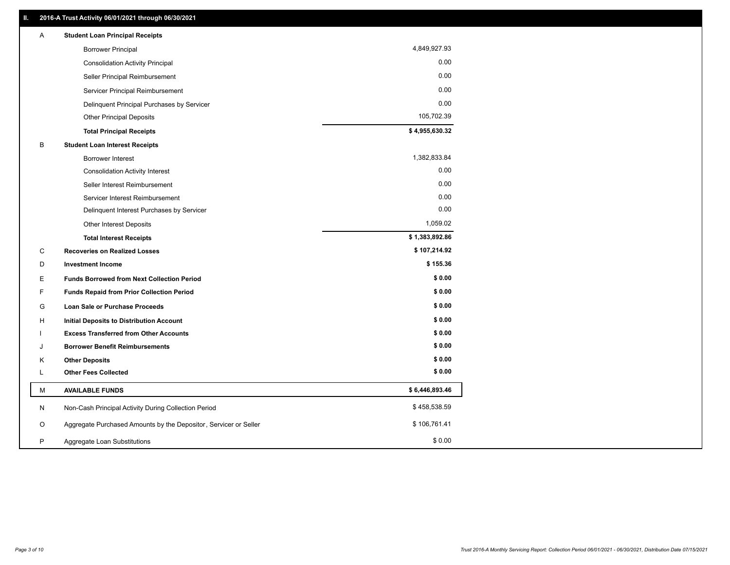| 4,849,927.93<br><b>Borrower Principal</b><br>0.00<br><b>Consolidation Activity Principal</b><br>0.00<br>Seller Principal Reimbursement<br>0.00<br>Servicer Principal Reimbursement<br>0.00<br>Delinquent Principal Purchases by Servicer<br>105,702.39<br><b>Other Principal Deposits</b><br>\$4,955,630.32<br><b>Total Principal Receipts</b><br>B<br><b>Student Loan Interest Receipts</b><br>1,382,833.84<br><b>Borrower Interest</b><br>0.00<br><b>Consolidation Activity Interest</b><br>0.00<br>Seller Interest Reimbursement<br>0.00<br>Servicer Interest Reimbursement<br>0.00<br>Delinquent Interest Purchases by Servicer<br>1,059.02<br>Other Interest Deposits<br>\$1,383,892.86<br><b>Total Interest Receipts</b><br>\$107,214.92<br>C<br><b>Recoveries on Realized Losses</b><br>\$155.36<br>D<br><b>Investment Income</b><br>\$0.00<br>Е<br><b>Funds Borrowed from Next Collection Period</b><br>\$0.00<br>F<br><b>Funds Repaid from Prior Collection Period</b><br>\$0.00<br>G<br>Loan Sale or Purchase Proceeds<br>\$0.00<br>н<br>Initial Deposits to Distribution Account<br>\$0.00<br><b>Excess Transferred from Other Accounts</b><br>\$0.00<br><b>Borrower Benefit Reimbursements</b><br>J<br>\$0.00<br><b>Other Deposits</b><br>Κ<br>\$0.00<br><b>Other Fees Collected</b><br>Г<br>\$6,446,893.46<br>М<br><b>AVAILABLE FUNDS</b><br>\$458,538.59<br>N<br>Non-Cash Principal Activity During Collection Period | Α | <b>Student Loan Principal Receipts</b> |  |
|-------------------------------------------------------------------------------------------------------------------------------------------------------------------------------------------------------------------------------------------------------------------------------------------------------------------------------------------------------------------------------------------------------------------------------------------------------------------------------------------------------------------------------------------------------------------------------------------------------------------------------------------------------------------------------------------------------------------------------------------------------------------------------------------------------------------------------------------------------------------------------------------------------------------------------------------------------------------------------------------------------------------------------------------------------------------------------------------------------------------------------------------------------------------------------------------------------------------------------------------------------------------------------------------------------------------------------------------------------------------------------------------------------------------------------------|---|----------------------------------------|--|
|                                                                                                                                                                                                                                                                                                                                                                                                                                                                                                                                                                                                                                                                                                                                                                                                                                                                                                                                                                                                                                                                                                                                                                                                                                                                                                                                                                                                                                     |   |                                        |  |
|                                                                                                                                                                                                                                                                                                                                                                                                                                                                                                                                                                                                                                                                                                                                                                                                                                                                                                                                                                                                                                                                                                                                                                                                                                                                                                                                                                                                                                     |   |                                        |  |
|                                                                                                                                                                                                                                                                                                                                                                                                                                                                                                                                                                                                                                                                                                                                                                                                                                                                                                                                                                                                                                                                                                                                                                                                                                                                                                                                                                                                                                     |   |                                        |  |
|                                                                                                                                                                                                                                                                                                                                                                                                                                                                                                                                                                                                                                                                                                                                                                                                                                                                                                                                                                                                                                                                                                                                                                                                                                                                                                                                                                                                                                     |   |                                        |  |
|                                                                                                                                                                                                                                                                                                                                                                                                                                                                                                                                                                                                                                                                                                                                                                                                                                                                                                                                                                                                                                                                                                                                                                                                                                                                                                                                                                                                                                     |   |                                        |  |
|                                                                                                                                                                                                                                                                                                                                                                                                                                                                                                                                                                                                                                                                                                                                                                                                                                                                                                                                                                                                                                                                                                                                                                                                                                                                                                                                                                                                                                     |   |                                        |  |
|                                                                                                                                                                                                                                                                                                                                                                                                                                                                                                                                                                                                                                                                                                                                                                                                                                                                                                                                                                                                                                                                                                                                                                                                                                                                                                                                                                                                                                     |   |                                        |  |
|                                                                                                                                                                                                                                                                                                                                                                                                                                                                                                                                                                                                                                                                                                                                                                                                                                                                                                                                                                                                                                                                                                                                                                                                                                                                                                                                                                                                                                     |   |                                        |  |
|                                                                                                                                                                                                                                                                                                                                                                                                                                                                                                                                                                                                                                                                                                                                                                                                                                                                                                                                                                                                                                                                                                                                                                                                                                                                                                                                                                                                                                     |   |                                        |  |
|                                                                                                                                                                                                                                                                                                                                                                                                                                                                                                                                                                                                                                                                                                                                                                                                                                                                                                                                                                                                                                                                                                                                                                                                                                                                                                                                                                                                                                     |   |                                        |  |
|                                                                                                                                                                                                                                                                                                                                                                                                                                                                                                                                                                                                                                                                                                                                                                                                                                                                                                                                                                                                                                                                                                                                                                                                                                                                                                                                                                                                                                     |   |                                        |  |
|                                                                                                                                                                                                                                                                                                                                                                                                                                                                                                                                                                                                                                                                                                                                                                                                                                                                                                                                                                                                                                                                                                                                                                                                                                                                                                                                                                                                                                     |   |                                        |  |
|                                                                                                                                                                                                                                                                                                                                                                                                                                                                                                                                                                                                                                                                                                                                                                                                                                                                                                                                                                                                                                                                                                                                                                                                                                                                                                                                                                                                                                     |   |                                        |  |
|                                                                                                                                                                                                                                                                                                                                                                                                                                                                                                                                                                                                                                                                                                                                                                                                                                                                                                                                                                                                                                                                                                                                                                                                                                                                                                                                                                                                                                     |   |                                        |  |
|                                                                                                                                                                                                                                                                                                                                                                                                                                                                                                                                                                                                                                                                                                                                                                                                                                                                                                                                                                                                                                                                                                                                                                                                                                                                                                                                                                                                                                     |   |                                        |  |
|                                                                                                                                                                                                                                                                                                                                                                                                                                                                                                                                                                                                                                                                                                                                                                                                                                                                                                                                                                                                                                                                                                                                                                                                                                                                                                                                                                                                                                     |   |                                        |  |
|                                                                                                                                                                                                                                                                                                                                                                                                                                                                                                                                                                                                                                                                                                                                                                                                                                                                                                                                                                                                                                                                                                                                                                                                                                                                                                                                                                                                                                     |   |                                        |  |
|                                                                                                                                                                                                                                                                                                                                                                                                                                                                                                                                                                                                                                                                                                                                                                                                                                                                                                                                                                                                                                                                                                                                                                                                                                                                                                                                                                                                                                     |   |                                        |  |
|                                                                                                                                                                                                                                                                                                                                                                                                                                                                                                                                                                                                                                                                                                                                                                                                                                                                                                                                                                                                                                                                                                                                                                                                                                                                                                                                                                                                                                     |   |                                        |  |
|                                                                                                                                                                                                                                                                                                                                                                                                                                                                                                                                                                                                                                                                                                                                                                                                                                                                                                                                                                                                                                                                                                                                                                                                                                                                                                                                                                                                                                     |   |                                        |  |
|                                                                                                                                                                                                                                                                                                                                                                                                                                                                                                                                                                                                                                                                                                                                                                                                                                                                                                                                                                                                                                                                                                                                                                                                                                                                                                                                                                                                                                     |   |                                        |  |
|                                                                                                                                                                                                                                                                                                                                                                                                                                                                                                                                                                                                                                                                                                                                                                                                                                                                                                                                                                                                                                                                                                                                                                                                                                                                                                                                                                                                                                     |   |                                        |  |
|                                                                                                                                                                                                                                                                                                                                                                                                                                                                                                                                                                                                                                                                                                                                                                                                                                                                                                                                                                                                                                                                                                                                                                                                                                                                                                                                                                                                                                     |   |                                        |  |
|                                                                                                                                                                                                                                                                                                                                                                                                                                                                                                                                                                                                                                                                                                                                                                                                                                                                                                                                                                                                                                                                                                                                                                                                                                                                                                                                                                                                                                     |   |                                        |  |
|                                                                                                                                                                                                                                                                                                                                                                                                                                                                                                                                                                                                                                                                                                                                                                                                                                                                                                                                                                                                                                                                                                                                                                                                                                                                                                                                                                                                                                     |   |                                        |  |
|                                                                                                                                                                                                                                                                                                                                                                                                                                                                                                                                                                                                                                                                                                                                                                                                                                                                                                                                                                                                                                                                                                                                                                                                                                                                                                                                                                                                                                     |   |                                        |  |
|                                                                                                                                                                                                                                                                                                                                                                                                                                                                                                                                                                                                                                                                                                                                                                                                                                                                                                                                                                                                                                                                                                                                                                                                                                                                                                                                                                                                                                     |   |                                        |  |
| \$106,761.41<br>O<br>Aggregate Purchased Amounts by the Depositor, Servicer or Seller                                                                                                                                                                                                                                                                                                                                                                                                                                                                                                                                                                                                                                                                                                                                                                                                                                                                                                                                                                                                                                                                                                                                                                                                                                                                                                                                               |   |                                        |  |
| \$0.00<br>P<br>Aggregate Loan Substitutions                                                                                                                                                                                                                                                                                                                                                                                                                                                                                                                                                                                                                                                                                                                                                                                                                                                                                                                                                                                                                                                                                                                                                                                                                                                                                                                                                                                         |   |                                        |  |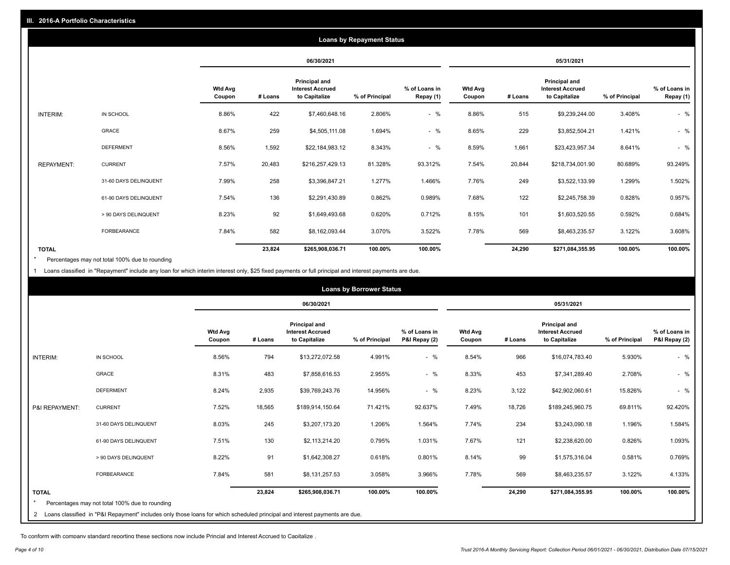|                   |                       |                          |            |                                                           | <b>Loans by Repayment Status</b> |                            |                   |         |                                                           |                |                            |
|-------------------|-----------------------|--------------------------|------------|-----------------------------------------------------------|----------------------------------|----------------------------|-------------------|---------|-----------------------------------------------------------|----------------|----------------------------|
|                   |                       |                          | 06/30/2021 |                                                           |                                  | 05/31/2021                 |                   |         |                                                           |                |                            |
|                   |                       | <b>Wtd Avg</b><br>Coupon | # Loans    | Principal and<br><b>Interest Accrued</b><br>to Capitalize | % of Principal                   | % of Loans in<br>Repay (1) | Wtd Avg<br>Coupon | # Loans | Principal and<br><b>Interest Accrued</b><br>to Capitalize | % of Principal | % of Loans in<br>Repay (1) |
| INTERIM:          | IN SCHOOL             | 8.86%                    | 422        | \$7,460,648.16                                            | 2.806%                           | $-$ %                      | 8.86%             | 515     | \$9,239,244.00                                            | 3.408%         | $-$ %                      |
|                   | GRACE                 | 8.67%                    | 259        | \$4,505,111.08                                            | 1.694%                           | $-$ %                      | 8.65%             | 229     | \$3,852,504.21                                            | 1.421%         | $-$ %                      |
|                   | <b>DEFERMENT</b>      | 8.56%                    | 1,592      | \$22,184,983.12                                           | 8.343%                           | $-$ %                      | 8.59%             | 1,661   | \$23,423,957.34                                           | 8.641%         | $-$ %                      |
| <b>REPAYMENT:</b> | <b>CURRENT</b>        | 7.57%                    | 20,483     | \$216,257,429.13                                          | 81.328%                          | 93.312%                    | 7.54%             | 20,844  | \$218,734,001.90                                          | 80.689%        | 93.249%                    |
|                   | 31-60 DAYS DELINQUENT | 7.99%                    | 258        | \$3,396,847.21                                            | 1.277%                           | 1.466%                     | 7.76%             | 249     | \$3,522,133.99                                            | 1.299%         | 1.502%                     |
|                   | 61-90 DAYS DELINQUENT | 7.54%                    | 136        | \$2,291,430.89                                            | 0.862%                           | 0.989%                     | 7.68%             | 122     | \$2,245,758.39                                            | 0.828%         | 0.957%                     |
|                   | > 90 DAYS DELINQUENT  | 8.23%                    | 92         | \$1,649,493.68                                            | 0.620%                           | 0.712%                     | 8.15%             | 101     | \$1,603,520.55                                            | 0.592%         | 0.684%                     |
|                   | <b>FORBEARANCE</b>    | 7.84%                    | 582        | \$8,162,093.44                                            | 3.070%                           | 3.522%                     | 7.78%             | 569     | \$8,463,235.57                                            | 3.122%         | 3.608%                     |
| <b>TOTAL</b>      |                       |                          | 23,824     | \$265,908,036.71                                          | 100.00%                          | 100.00%                    |                   | 24,290  | \$271,084,355.95                                          | 100.00%        | 100.00%                    |

Percentages may not total 100% due to rounding \*

1 Loans classified in "Repayment" include any loan for which interim interest only, \$25 fixed payments or full principal and interest payments are due.

|                |                                                                                                                              |                          |         |                                                                  | <b>Loans by Borrower Status</b> |                                |                          |         |                                                           |                |                                |
|----------------|------------------------------------------------------------------------------------------------------------------------------|--------------------------|---------|------------------------------------------------------------------|---------------------------------|--------------------------------|--------------------------|---------|-----------------------------------------------------------|----------------|--------------------------------|
|                |                                                                                                                              |                          |         | 06/30/2021                                                       |                                 |                                | 05/31/2021               |         |                                                           |                |                                |
|                |                                                                                                                              | <b>Wtd Avg</b><br>Coupon | # Loans | <b>Principal and</b><br><b>Interest Accrued</b><br>to Capitalize | % of Principal                  | % of Loans in<br>P&I Repay (2) | <b>Wtd Avg</b><br>Coupon | # Loans | Principal and<br><b>Interest Accrued</b><br>to Capitalize | % of Principal | % of Loans in<br>P&I Repay (2) |
| INTERIM:       | IN SCHOOL                                                                                                                    | 8.56%                    | 794     | \$13,272,072.58                                                  | 4.991%                          | $-$ %                          | 8.54%                    | 966     | \$16,074,783.40                                           | 5.930%         | $-$ %                          |
|                | <b>GRACE</b>                                                                                                                 | 8.31%                    | 483     | \$7,858,616.53                                                   | 2.955%                          | $-$ %                          | 8.33%                    | 453     | \$7,341,289.40                                            | 2.708%         | $-$ %                          |
|                | <b>DEFERMENT</b>                                                                                                             | 8.24%                    | 2,935   | \$39,769,243.76                                                  | 14.956%                         | $-$ %                          | 8.23%                    | 3,122   | \$42,902,060.61                                           | 15.826%        | $-$ %                          |
| P&I REPAYMENT: | <b>CURRENT</b>                                                                                                               | 7.52%                    | 18,565  | \$189,914,150.64                                                 | 71.421%                         | 92.637%                        | 7.49%                    | 18,726  | \$189,245,960.75                                          | 69.811%        | 92.420%                        |
|                | 31-60 DAYS DELINQUENT                                                                                                        | 8.03%                    | 245     | \$3,207,173.20                                                   | 1.206%                          | 1.564%                         | 7.74%                    | 234     | \$3,243,090.18                                            | 1.196%         | 1.584%                         |
|                | 61-90 DAYS DELINQUENT                                                                                                        | 7.51%                    | 130     | \$2,113,214.20                                                   | 0.795%                          | 1.031%                         | 7.67%                    | 121     | \$2,238,620.00                                            | 0.826%         | 1.093%                         |
|                | > 90 DAYS DELINQUENT                                                                                                         | 8.22%                    | 91      | \$1,642,308.27                                                   | 0.618%                          | 0.801%                         | 8.14%                    | 99      | \$1,575,316.04                                            | 0.581%         | 0.769%                         |
|                | <b>FORBEARANCE</b>                                                                                                           | 7.84%                    | 581     | \$8,131,257.53                                                   | 3.058%                          | 3.966%                         | 7.78%                    | 569     | \$8,463,235.57                                            | 3.122%         | 4.133%                         |
| <b>TOTAL</b>   | Percentages may not total 100% due to rounding                                                                               |                          | 23,824  | \$265,908,036.71                                                 | 100.00%                         | 100.00%                        |                          | 24,290  | \$271,084,355.95                                          | 100.00%        | 100.00%                        |
|                | 2 Loans classified in "P&I Repayment" includes only those loans for which scheduled principal and interest payments are due. |                          |         |                                                                  |                                 |                                |                          |         |                                                           |                |                                |

To conform with company standard reporting these sections now include Princial and Interest Accrued to Capitalize .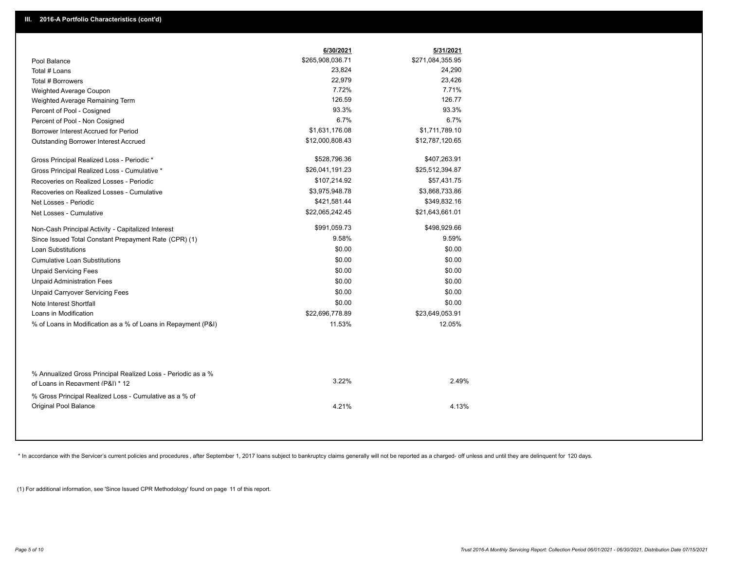|                                                                                                  | 6/30/2021        | 5/31/2021        |
|--------------------------------------------------------------------------------------------------|------------------|------------------|
| Pool Balance                                                                                     | \$265,908,036.71 | \$271,084,355.95 |
| Total # Loans                                                                                    | 23,824           | 24,290           |
| Total # Borrowers                                                                                | 22,979           | 23,426           |
| Weighted Average Coupon                                                                          | 7.72%            | 7.71%            |
| Weighted Average Remaining Term                                                                  | 126.59           | 126.77           |
| Percent of Pool - Cosigned                                                                       | 93.3%            | 93.3%            |
| Percent of Pool - Non Cosigned                                                                   | 6.7%             | 6.7%             |
| Borrower Interest Accrued for Period                                                             | \$1,631,176.08   | \$1,711,789.10   |
| Outstanding Borrower Interest Accrued                                                            | \$12,000,808.43  | \$12,787,120.65  |
| Gross Principal Realized Loss - Periodic *                                                       | \$528,796.36     | \$407,263.91     |
| Gross Principal Realized Loss - Cumulative *                                                     | \$26,041,191.23  | \$25,512,394.87  |
| Recoveries on Realized Losses - Periodic                                                         | \$107,214.92     | \$57,431.75      |
| Recoveries on Realized Losses - Cumulative                                                       | \$3,975,948.78   | \$3,868,733.86   |
| Net Losses - Periodic                                                                            | \$421,581.44     | \$349,832.16     |
| Net Losses - Cumulative                                                                          | \$22,065,242.45  | \$21,643,661.01  |
| Non-Cash Principal Activity - Capitalized Interest                                               | \$991,059.73     | \$498,929.66     |
| Since Issued Total Constant Prepayment Rate (CPR) (1)                                            | 9.58%            | 9.59%            |
| <b>Loan Substitutions</b>                                                                        | \$0.00           | \$0.00           |
| <b>Cumulative Loan Substitutions</b>                                                             | \$0.00           | \$0.00           |
| <b>Unpaid Servicing Fees</b>                                                                     | \$0.00           | \$0.00           |
| <b>Unpaid Administration Fees</b>                                                                | \$0.00           | \$0.00           |
| <b>Unpaid Carryover Servicing Fees</b>                                                           | \$0.00           | \$0.00           |
| Note Interest Shortfall                                                                          | \$0.00           | \$0.00           |
| Loans in Modification                                                                            | \$22,696,778.89  | \$23,649,053.91  |
| % of Loans in Modification as a % of Loans in Repayment (P&I)                                    | 11.53%           | 12.05%           |
|                                                                                                  |                  |                  |
| % Annualized Gross Principal Realized Loss - Periodic as a %<br>of Loans in Repayment (P&I) * 12 | 3.22%            | 2.49%            |
|                                                                                                  |                  |                  |
| % Gross Principal Realized Loss - Cumulative as a % of<br>Original Pool Balance                  | 4.21%            | 4.13%            |

\* In accordance with the Servicer's current policies and procedures, after September 1, 2017 loans subject to bankruptcy claims generally will not be reported as a charged- off unless and until they are delinquent for 120

(1) For additional information, see 'Since Issued CPR Methodology' found on page 11 of this report.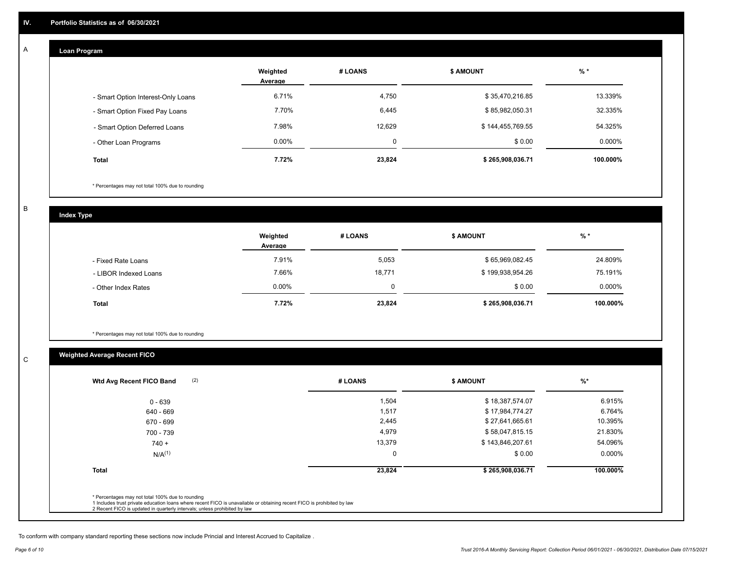#### **Loan Program**  A

|                                    | Weighted<br>Average | # LOANS  | <b>\$ AMOUNT</b> | $%$ *    |
|------------------------------------|---------------------|----------|------------------|----------|
| - Smart Option Interest-Only Loans | 6.71%               | 4,750    | \$35,470,216.85  | 13.339%  |
| - Smart Option Fixed Pay Loans     | 7.70%               | 6,445    | \$85,982,050.31  | 32.335%  |
| - Smart Option Deferred Loans      | 7.98%               | 12,629   | \$144,455,769.55 | 54.325%  |
| - Other Loan Programs              | $0.00\%$            | $\Omega$ | \$0.00           | 0.000%   |
| <b>Total</b>                       | 7.72%               | 23,824   | \$265,908,036.71 | 100.000% |

\* Percentages may not total 100% due to rounding

B

C

**Index Type**

|                       | Weighted<br>Average | # LOANS  | \$ AMOUNT        | $%$ *    |
|-----------------------|---------------------|----------|------------------|----------|
| - Fixed Rate Loans    | 7.91%               | 5,053    | \$65,969,082.45  | 24.809%  |
| - LIBOR Indexed Loans | 7.66%               | 18,771   | \$199,938,954.26 | 75.191%  |
| - Other Index Rates   | $0.00\%$            | $\Omega$ | \$0.00           | 0.000%   |
| <b>Total</b>          | 7.72%               | 23,824   | \$265,908,036.71 | 100.000% |

\* Percentages may not total 100% due to rounding

# **Weighted Average Recent FICO**

|              |             | <b>\$ AMOUNT</b> | $%$ *     |
|--------------|-------------|------------------|-----------|
| $0 - 639$    | 1,504       | \$18,387,574.07  | 6.915%    |
| 640 - 669    | 1,517       | \$17,984,774.27  | 6.764%    |
| 670 - 699    | 2,445       | \$27,641,665.61  | 10.395%   |
| 700 - 739    | 4,979       | \$58,047,815.15  | 21.830%   |
| $740 +$      | 13,379      | \$143,846,207.61 | 54.096%   |
| $N/A^{(1)}$  | $\mathbf 0$ | \$0.00           | $0.000\%$ |
| <b>Total</b> | 23,824      | \$265,908,036.71 | 100.000%  |

To conform with company standard reporting these sections now include Princial and Interest Accrued to Capitalize .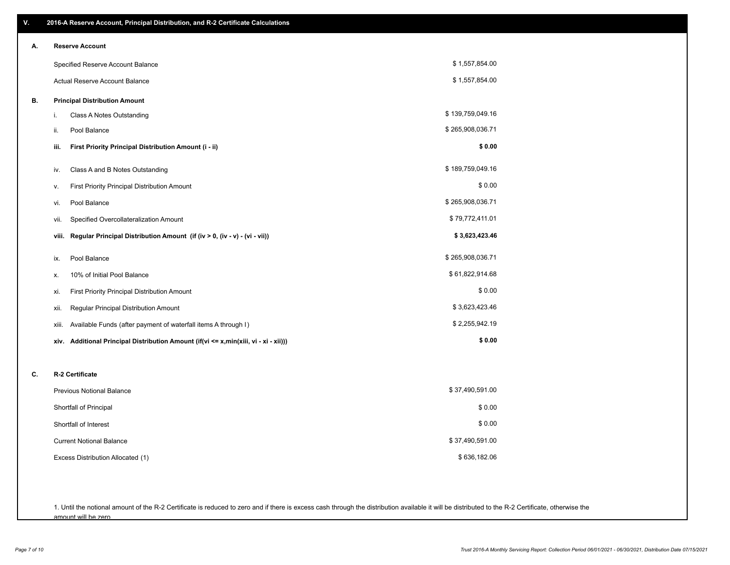| V. | 2016-A Reserve Account, Principal Distribution, and R-2 Certificate Calculations     |                  |
|----|--------------------------------------------------------------------------------------|------------------|
| А. | <b>Reserve Account</b>                                                               |                  |
|    | Specified Reserve Account Balance                                                    | \$1,557,854.00   |
|    | Actual Reserve Account Balance                                                       | \$1,557,854.00   |
| В. | <b>Principal Distribution Amount</b>                                                 |                  |
|    | i.<br>Class A Notes Outstanding                                                      | \$139,759,049.16 |
|    | Pool Balance<br>ii.                                                                  | \$265,908,036.71 |
|    | First Priority Principal Distribution Amount (i - ii)<br>iii.                        | \$0.00           |
|    | Class A and B Notes Outstanding<br>iv.                                               | \$189,759,049.16 |
|    | First Priority Principal Distribution Amount<br>v.                                   | \$0.00           |
|    | Pool Balance<br>vi.                                                                  | \$265,908,036.71 |
|    | Specified Overcollateralization Amount<br>vii.                                       | \$79,772,411.01  |
|    | Regular Principal Distribution Amount (if (iv > 0, (iv - v) - (vi - vii))<br>viii.   | \$3,623,423.46   |
|    | Pool Balance<br>ix.                                                                  | \$265,908,036.71 |
|    | 10% of Initial Pool Balance<br>х.                                                    | \$61,822,914.68  |
|    | First Priority Principal Distribution Amount<br>xi.                                  | \$0.00           |
|    | Regular Principal Distribution Amount<br>xii.                                        | \$3,623,423.46   |
|    | Available Funds (after payment of waterfall items A through I)<br>xiii.              | \$2,255,942.19   |
|    | xiv. Additional Principal Distribution Amount (if(vi <= x,min(xiii, vi - xi - xii))) | \$0.00           |
| C. | R-2 Certificate                                                                      |                  |
|    | <b>Previous Notional Balance</b>                                                     | \$37,490,591.00  |
|    | Shortfall of Principal                                                               | \$0.00           |
|    | Shortfall of Interest                                                                | \$0.00           |
|    | <b>Current Notional Balance</b>                                                      | \$37,490,591.00  |
|    | Excess Distribution Allocated (1)                                                    | \$636,182.06     |
|    |                                                                                      |                  |
|    |                                                                                      |                  |

1. Until the notional amount of the R-2 Certificate is reduced to zero and if there is excess cash through the distribution available it will be distributed to the R-2 Certificate, otherwise the amount will be zero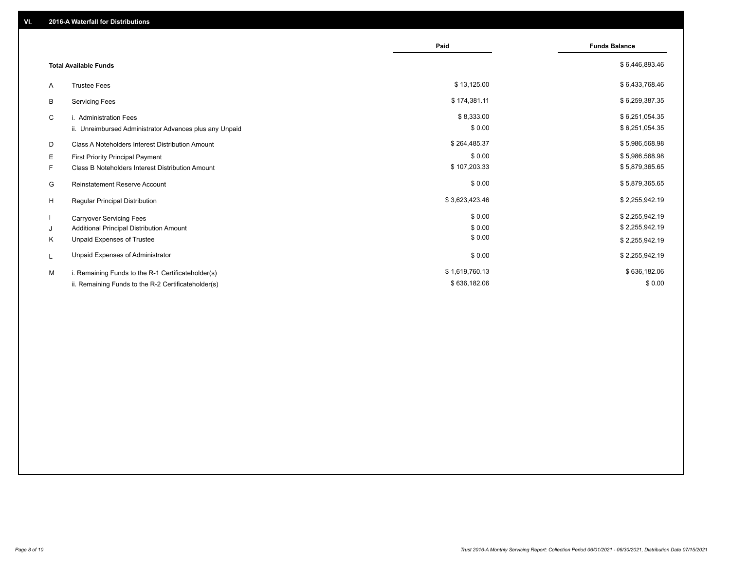|                                                         | Paid           | <b>Funds Balance</b> |
|---------------------------------------------------------|----------------|----------------------|
| <b>Total Available Funds</b>                            |                | \$6,446,893.46       |
| <b>Trustee Fees</b><br>A                                | \$13,125.00    | \$6,433,768.46       |
| <b>Servicing Fees</b><br>B                              | \$174,381.11   | \$6,259,387.35       |
| C<br>i. Administration Fees                             | \$8,333.00     | \$6,251,054.35       |
| ii. Unreimbursed Administrator Advances plus any Unpaid | \$0.00         | \$6,251,054.35       |
| Class A Noteholders Interest Distribution Amount<br>D   | \$264,485.37   | \$5,986,568.98       |
| Е<br>First Priority Principal Payment                   | \$0.00         | \$5,986,568.98       |
| F.<br>Class B Noteholders Interest Distribution Amount  | \$107,203.33   | \$5,879,365.65       |
| G<br><b>Reinstatement Reserve Account</b>               | \$0.00         | \$5,879,365.65       |
| H<br>Regular Principal Distribution                     | \$3,623,423.46 | \$2,255,942.19       |
| <b>Carryover Servicing Fees</b>                         | \$0.00         | \$2,255,942.19       |
| Additional Principal Distribution Amount<br>J           | \$0.00         | \$2,255,942.19       |
| Κ<br>Unpaid Expenses of Trustee                         | \$0.00         | \$2,255,942.19       |
| Unpaid Expenses of Administrator<br>L                   | \$0.00         | \$2,255,942.19       |
| M<br>i. Remaining Funds to the R-1 Certificateholder(s) | \$1,619,760.13 | \$636,182.06         |
| ii. Remaining Funds to the R-2 Certificateholder(s)     | \$636,182.06   | \$0.00               |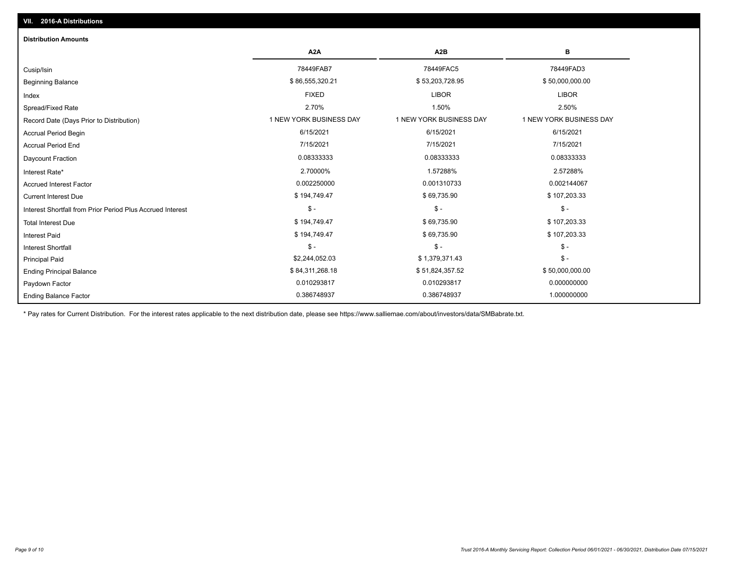| <b>Distribution Amounts</b>                                |                         |                         |                         |
|------------------------------------------------------------|-------------------------|-------------------------|-------------------------|
|                                                            | A <sub>2</sub> A        | A <sub>2</sub> B        | B                       |
| Cusip/Isin                                                 | 78449FAB7               | 78449FAC5               | 78449FAD3               |
| <b>Beginning Balance</b>                                   | \$86,555,320.21         | \$53,203,728.95         | \$50,000,000.00         |
| Index                                                      | <b>FIXED</b>            | <b>LIBOR</b>            | <b>LIBOR</b>            |
| Spread/Fixed Rate                                          | 2.70%                   | 1.50%                   | 2.50%                   |
| Record Date (Days Prior to Distribution)                   | 1 NEW YORK BUSINESS DAY | 1 NEW YORK BUSINESS DAY | 1 NEW YORK BUSINESS DAY |
| <b>Accrual Period Begin</b>                                | 6/15/2021               | 6/15/2021               | 6/15/2021               |
| <b>Accrual Period End</b>                                  | 7/15/2021               | 7/15/2021               | 7/15/2021               |
| <b>Daycount Fraction</b>                                   | 0.08333333              | 0.08333333              | 0.08333333              |
| Interest Rate*                                             | 2.70000%                | 1.57288%                | 2.57288%                |
| <b>Accrued Interest Factor</b>                             | 0.002250000             | 0.001310733             | 0.002144067             |
| <b>Current Interest Due</b>                                | \$194,749.47            | \$69,735.90             | \$107,203.33            |
| Interest Shortfall from Prior Period Plus Accrued Interest | $\mathcal{S}$ -         | $\mathsf{\$}$ -         | $\mathsf{\$}$ -         |
| <b>Total Interest Due</b>                                  | \$194,749.47            | \$69,735.90             | \$107,203.33            |
| <b>Interest Paid</b>                                       | \$194,749.47            | \$69,735.90             | \$107,203.33            |
| <b>Interest Shortfall</b>                                  | $$ -$                   | $$ -$                   | $\mathsf{\$}$ -         |
| <b>Principal Paid</b>                                      | \$2,244,052.03          | \$1,379,371.43          | $\mathsf{\$}$ -         |
| <b>Ending Principal Balance</b>                            | \$84,311,268.18         | \$51,824,357.52         | \$50,000,000.00         |
| Paydown Factor                                             | 0.010293817             | 0.010293817             | 0.000000000             |
| <b>Ending Balance Factor</b>                               | 0.386748937             | 0.386748937             | 1.000000000             |

\* Pay rates for Current Distribution. For the interest rates applicable to the next distribution date, please see https://www.salliemae.com/about/investors/data/SMBabrate.txt.

**VII. 2016-A Distributions**